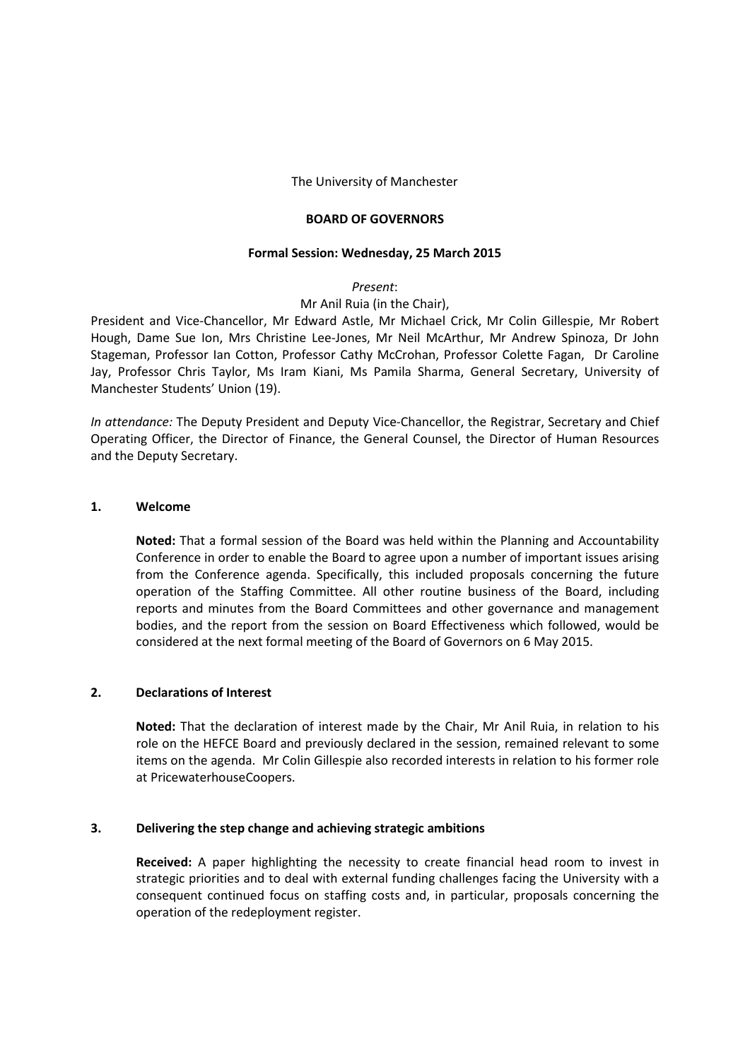### The University of Manchester

#### **BOARD OF GOVERNORS**

#### **Formal Session: Wednesday, 25 March 2015**

### *Present*:

# Mr Anil Ruia (in the Chair),

President and Vice-Chancellor, Mr Edward Astle, Mr Michael Crick, Mr Colin Gillespie, Mr Robert Hough, Dame Sue Ion, Mrs Christine Lee-Jones, Mr Neil McArthur, Mr Andrew Spinoza, Dr John Stageman, Professor Ian Cotton, Professor Cathy McCrohan, Professor Colette Fagan, Dr Caroline Jay, Professor Chris Taylor, Ms Iram Kiani, Ms Pamila Sharma, General Secretary, University of Manchester Students' Union (19).

*In attendance:* The Deputy President and Deputy Vice-Chancellor, the Registrar, Secretary and Chief Operating Officer, the Director of Finance, the General Counsel, the Director of Human Resources and the Deputy Secretary.

# **1. Welcome**

**Noted:** That a formal session of the Board was held within the Planning and Accountability Conference in order to enable the Board to agree upon a number of important issues arising from the Conference agenda. Specifically, this included proposals concerning the future operation of the Staffing Committee. All other routine business of the Board, including reports and minutes from the Board Committees and other governance and management bodies, and the report from the session on Board Effectiveness which followed, would be considered at the next formal meeting of the Board of Governors on 6 May 2015.

# **2. Declarations of Interest**

**Noted:** That the declaration of interest made by the Chair, Mr Anil Ruia, in relation to his role on the HEFCE Board and previously declared in the session, remained relevant to some items on the agenda. Mr Colin Gillespie also recorded interests in relation to his former role at PricewaterhouseCoopers.

#### **3. Delivering the step change and achieving strategic ambitions**

**Received:** A paper highlighting the necessity to create financial head room to invest in strategic priorities and to deal with external funding challenges facing the University with a consequent continued focus on staffing costs and, in particular, proposals concerning the operation of the redeployment register.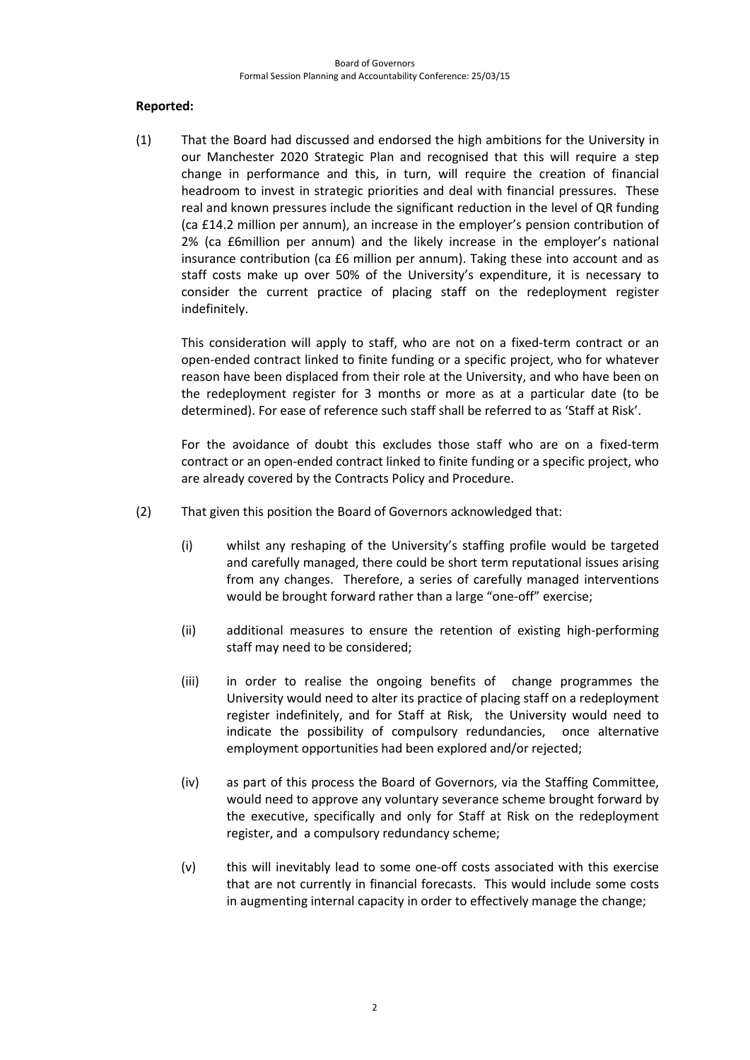# **Reported:**

(1) That the Board had discussed and endorsed the high ambitions for the University in our Manchester 2020 Strategic Plan and recognised that this will require a step change in performance and this, in turn, will require the creation of financial headroom to invest in strategic priorities and deal with financial pressures. These real and known pressures include the significant reduction in the level of QR funding (ca £14.2 million per annum), an increase in the employer's pension contribution of 2% (ca £6million per annum) and the likely increase in the employer's national insurance contribution (ca £6 million per annum). Taking these into account and as staff costs make up over 50% of the University's expenditure, it is necessary to consider the current practice of placing staff on the redeployment register indefinitely.

This consideration will apply to staff, who are not on a fixed-term contract or an open-ended contract linked to finite funding or a specific project, who for whatever reason have been displaced from their role at the University, and who have been on the redeployment register for 3 months or more as at a particular date (to be determined). For ease of reference such staff shall be referred to as 'Staff at Risk'.

For the avoidance of doubt this excludes those staff who are on a fixed-term contract or an open-ended contract linked to finite funding or a specific project, who are already covered by the Contracts Policy and Procedure.

- (2) That given this position the Board of Governors acknowledged that:
	- (i) whilst any reshaping of the University's staffing profile would be targeted and carefully managed, there could be short term reputational issues arising from any changes. Therefore, a series of carefully managed interventions would be brought forward rather than a large "one-off" exercise;
	- (ii) additional measures to ensure the retention of existing high-performing staff may need to be considered;
	- (iii) in order to realise the ongoing benefits of change programmes the University would need to alter its practice of placing staff on a redeployment register indefinitely, and for Staff at Risk, the University would need to indicate the possibility of compulsory redundancies, once alternative employment opportunities had been explored and/or rejected;
	- (iv) as part of this process the Board of Governors, via the Staffing Committee, would need to approve any voluntary severance scheme brought forward by the executive, specifically and only for Staff at Risk on the redeployment register, and a compulsory redundancy scheme;
	- (v) this will inevitably lead to some one-off costs associated with this exercise that are not currently in financial forecasts. This would include some costs in augmenting internal capacity in order to effectively manage the change;